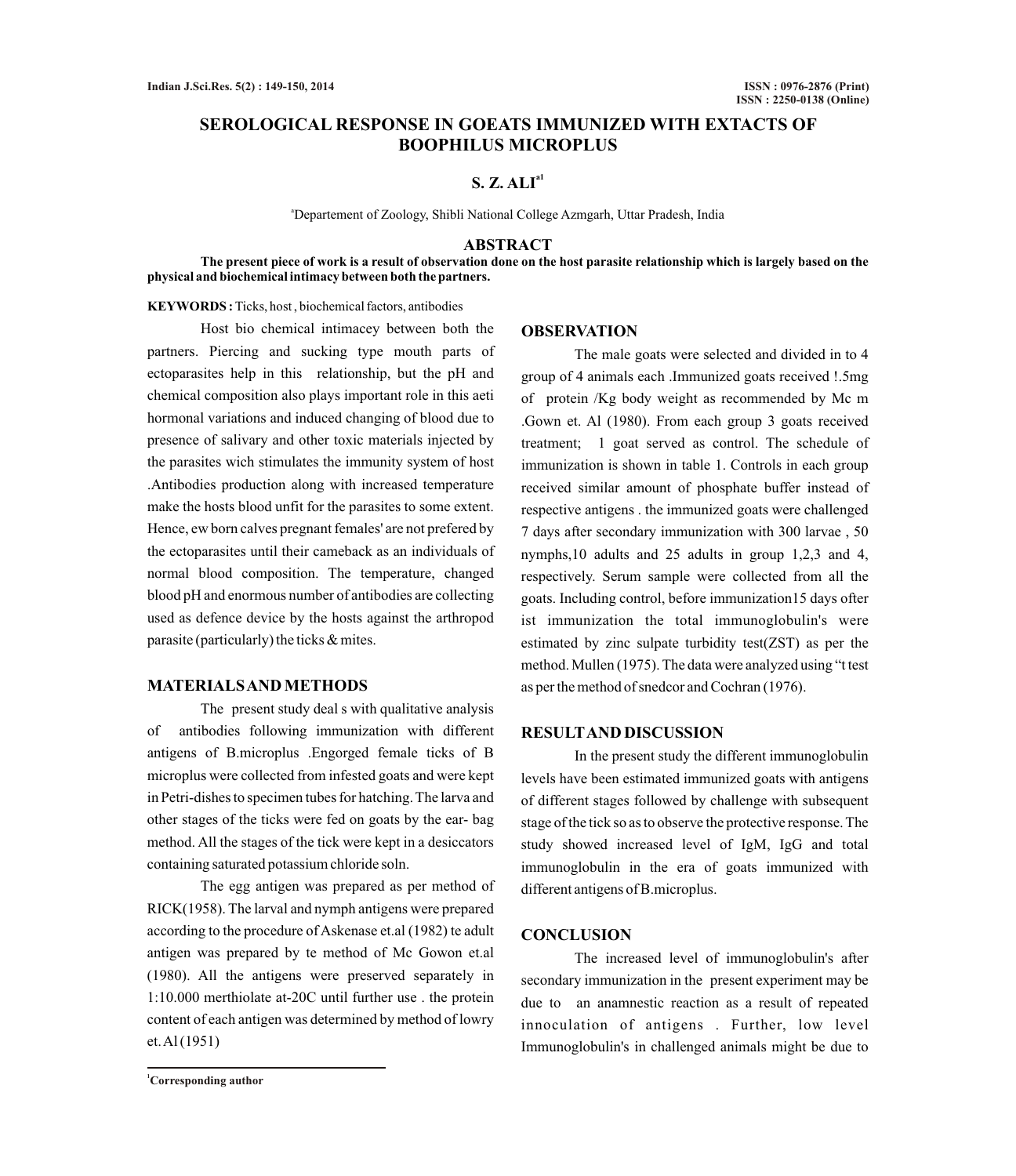# **SEROLOGICAL RESPONSE IN GOEATS IMMUNIZED WITH EXTACTS OF BOOPHILUS MICROPLUS**

# **a1 S. Z. ALI**

<sup>a</sup>Departement of Zoology, Shibli National College Azmgarh, Uttar Pradesh, India

## **ABSTRACT**

**The present piece of work is a result of observation done on the host parasite relationship which is largely based on the physical and biochemical intimacy between both the partners.**

**KEYWORDS :** Ticks, host , biochemical factors, antibodies

Host bio chemical intimacey between both the partners. Piercing and sucking type mouth parts of ectoparasites help in this relationship, but the pH and chemical composition also plays important role in this aeti hormonal variations and induced changing of blood due to presence of salivary and other toxic materials injected by the parasites wich stimulates the immunity system of host .Antibodies production along with increased temperature make the hosts blood unfit for the parasites to some extent. Hence, ew born calves pregnant females' are not prefered by the ectoparasites until their cameback as an individuals of normal blood composition. The temperature, changed blood pH and enormous number of antibodies are collecting used as defence device by the hosts against the arthropod parasite (particularly) the ticks & mites.

# **MATERIALS AND METHODS**

The present study deal s with qualitative analysis of antibodies following immunization with different antigens of B.microplus .Engorged female ticks of B microplus were collected from infested goats and were kept in Petri-dishes to specimen tubes for hatching. The larva and other stages of the ticks were fed on goats by the ear- bag method. All the stages of the tick were kept in a desiccators containing saturated potassium chloride soln.

The egg antigen was prepared as per method of RICK(1958). The larval and nymph antigens were prepared according to the procedure of Askenase et.al (1982) te adult antigen was prepared by te method of Mc Gowon et.al (1980). All the antigens were preserved separately in 1:10.000 merthiolate at-20C until further use . the protein content of each antigen was determined by method of lowry et. Al (1951)

#### **OBSERVATION**

The male goats were selected and divided in to 4 group of 4 animals each .Immunized goats received !.5mg of protein /Kg body weight as recommended by Mc m .Gown et. Al (1980). From each group 3 goats received treatment; 1 goat served as control. The schedule of immunization is shown in table 1. Controls in each group received similar amount of phosphate buffer instead of respective antigens . the immunized goats were challenged 7 days after secondary immunization with 300 larvae , 50 nymphs,10 adults and 25 adults in group 1,2,3 and 4, respectively. Serum sample were collected from all the goats. Including control, before immunization15 days ofter ist immunization the total immunoglobulin's were estimated by zinc sulpate turbidity test(ZST) as per the method. Mullen (1975). The data were analyzed using "t test as per the method of snedcor and Cochran (1976).

### **RESULTAND DISCUSSION**

In the present study the different immunoglobulin levels have been estimated immunized goats with antigens of different stages followed by challenge with subsequent stage of the tick so as to observe the protective response. The study showed increased level of IgM, IgG and total immunoglobulin in the era of goats immunized with different antigens of B.microplus.

### **CONCLUSION**

The increased level of immunoglobulin's after secondary immunization in the present experiment may be due to an anamnestic reaction as a result of repeated innoculation of antigens . Further, low level Immunoglobulin's in challenged animals might be due to

**<sup>1</sup>Corresponding author**